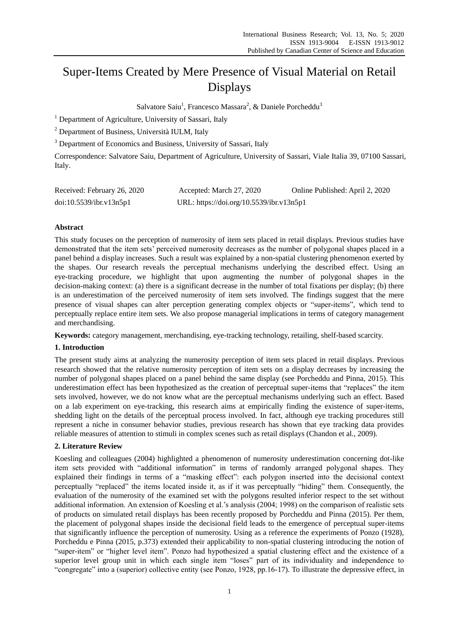# Super-Items Created by Mere Presence of Visual Material on Retail Displays

Salvatore Saiu<sup>1</sup>, Francesco Massara<sup>2</sup>, & Daniele Porcheddu<sup>3</sup>

<sup>1</sup> Department of Agriculture, University of Sassari, Italy

<sup>2</sup> Department of Business, Università IULM, Italy

<sup>3</sup> Department of Economics and Business, University of Sassari, Italy

Correspondence: Salvatore Saiu, Department of Agriculture, University of Sassari, Viale Italia 39, 07100 Sassari, Italy.

| Received: February 26, 2020 | Accepted: March 27, 2020                 | Online Published: April 2, 2020 |
|-----------------------------|------------------------------------------|---------------------------------|
| doi:10.5539/ibr.v13n5p1     | URL: https://doi.org/10.5539/ibr.v13n5p1 |                                 |

# **Abstract**

This study focuses on the perception of numerosity of item sets placed in retail displays. Previous studies have demonstrated that the item sets' perceived numerosity decreases as the number of polygonal shapes placed in a panel behind a display increases. Such a result was explained by a non-spatial clustering phenomenon exerted by the shapes. Our research reveals the perceptual mechanisms underlying the described effect. Using an eye-tracking procedure, we highlight that upon augmenting the number of polygonal shapes in the decision-making context: (a) there is a significant decrease in the number of total fixations per display; (b) there is an underestimation of the perceived numerosity of item sets involved. The findings suggest that the mere presence of visual shapes can alter perception generating complex objects or "super-items", which tend to perceptually replace entire item sets. We also propose managerial implications in terms of category management and merchandising.

**Keywords:** category management, merchandising, eye-tracking technology, retailing, shelf-based scarcity.

## **1. Introduction**

The present study aims at analyzing the numerosity perception of item sets placed in retail displays. Previous research showed that the relative numerosity perception of item sets on a display decreases by increasing the number of polygonal shapes placed on a panel behind the same display (see Porcheddu and Pinna, 2015). This underestimation effect has been hypothesized as the creation of perceptual super-items that "replaces" the item sets involved, however, we do not know what are the perceptual mechanisms underlying such an effect. Based on a lab experiment on eye-tracking, this research aims at empirically finding the existence of super-items, shedding light on the details of the perceptual process involved. In fact, although eye tracking procedures still represent a niche in consumer behavior studies, previous research has shown that eye tracking data provides reliable measures of attention to stimuli in complex scenes such as retail displays (Chandon et al., 2009).

# **2. Literature Review**

Koesling and colleagues (2004) highlighted a phenomenon of numerosity underestimation concerning dot-like item sets provided with "additional information" in terms of randomly arranged polygonal shapes. They explained their findings in terms of a "masking effect": each polygon inserted into the decisional context perceptually "replaced" the items located inside it, as if it was perceptually "hiding" them. Consequently, the evaluation of the numerosity of the examined set with the polygons resulted inferior respect to the set without additional information. An extension of Koesling et al.'s analysis (2004; 1998) on the comparison of realistic sets of products on simulated retail displays has been recently proposed by Porcheddu and Pinna (2015). Per them, the placement of polygonal shapes inside the decisional field leads to the emergence of perceptual super-items that significantly influence the perception of numerosity. Using as a reference the experiments of Ponzo (1928), Porcheddu e Pinna (2015, p.373) extended their applicability to non-spatial clustering introducing the notion of ―super-item‖ or ―higher level item‖. Ponzo had hypothesized a spatial clustering effect and the existence of a superior level group unit in which each single item "loses" part of its individuality and independence to ―congregate‖ into a (superior) collective entity (see Ponzo, 1928, pp.16-17). To illustrate the depressive effect, in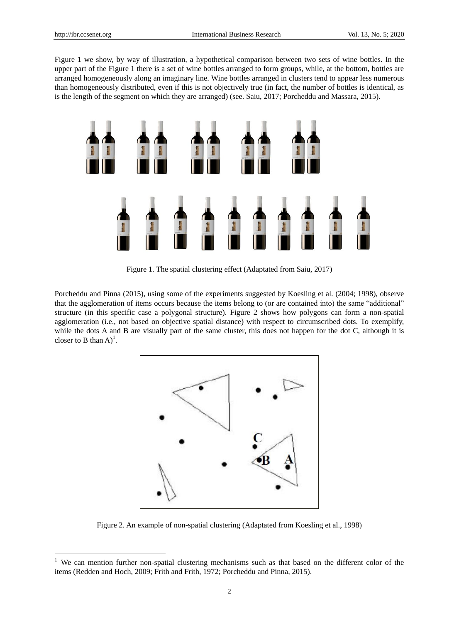-

Figure 1 we show, by way of illustration, a hypothetical comparison between two sets of wine bottles. In the upper part of the Figure 1 there is a set of wine bottles arranged to form groups, while, at the bottom, bottles are arranged homogeneously along an imaginary line. Wine bottles arranged in clusters tend to appear less numerous than homogeneously distributed, even if this is not objectively true (in fact, the number of bottles is identical, as is the length of the segment on which they are arranged) (see. Saiu, 2017; Porcheddu and Massara, 2015).



Figure 1. The spatial clustering effect (Adaptated from Saiu, 2017)

Porcheddu and Pinna (2015), using some of the experiments suggested by Koesling et al. (2004; 1998), observe that the agglomeration of items occurs because the items belong to (or are contained into) the same "additional" structure (in this specific case a polygonal structure). Figure 2 shows how polygons can form a non-spatial agglomeration (i.e., not based on objective spatial distance) with respect to circumscribed dots. To exemplify, while the dots A and B are visually part of the same cluster, this does not happen for the dot C, although it is closer to B than  $A$ <sup>1</sup>.



Figure 2. An example of non-spatial clustering (Adaptated from Koesling et al., 1998)

<sup>&</sup>lt;sup>1</sup> We can mention further non-spatial clustering mechanisms such as that based on the different color of the items (Redden and Hoch, 2009; Frith and Frith, 1972; Porcheddu and Pinna, 2015).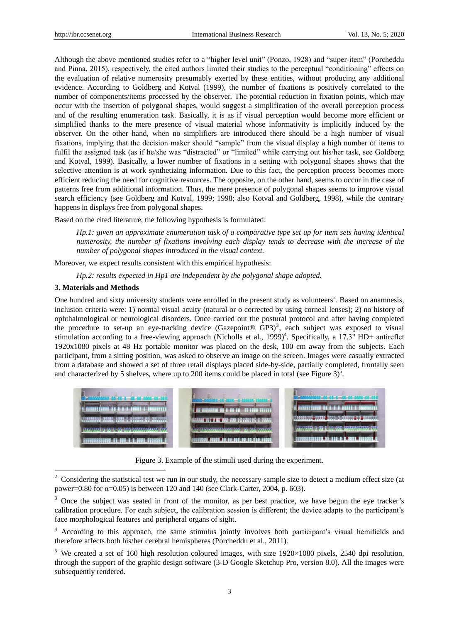Although the above mentioned studies refer to a "higher level unit" (Ponzo, 1928) and "super-item" (Porcheddu and Pinna, 2015), respectively, the cited authors limited their studies to the perceptual "conditioning" effects on the evaluation of relative numerosity presumably exerted by these entities, without producing any additional evidence. According to Goldberg and Kotval (1999), the number of fixations is positively correlated to the number of components/items processed by the observer. The potential reduction in fixation points, which may occur with the insertion of polygonal shapes, would suggest a simplification of the overall perception process and of the resulting enumeration task. Basically, it is as if visual perception would become more efficient or simplified thanks to the mere presence of visual material whose informativity is implicitly induced by the observer. On the other hand, when no simplifiers are introduced there should be a high number of visual fixations, implying that the decision maker should "sample" from the visual display a high number of items to fulfil the assigned task (as if he/she was "distracted" or "limited" while carrying out his/her task, see Goldberg and Kotval, 1999). Basically, a lower number of fixations in a setting with polygonal shapes shows that the selective attention is at work synthetizing information. Due to this fact, the perception process becomes more efficient reducing the need for cognitive resources. The opposite, on the other hand, seems to occur in the case of patterns free from additional information. Thus, the mere presence of polygonal shapes seems to improve visual search efficiency (see Goldberg and Kotval, 1999; 1998; also Kotval and Goldberg, 1998), while the contrary happens in displays free from polygonal shapes.

Based on the cited literature, the following hypothesis is formulated:

*Hp.1: given an approximate enumeration task of a comparative type set up for item sets having identical numerosity, the number of fixations involving each display tends to decrease with the increase of the number of polygonal shapes introduced in the visual context.*

Moreover, we expect results consistent with this empirical hypothesis:

*Hp.2: results expected in Hp1 are independent by the polygonal shape adopted.*

## **3. Materials and Methods**

-

One hundred and sixty university students were enrolled in the present study as volunteers<sup>2</sup>. Based on anamnesis, inclusion criteria were: 1) normal visual acuity (natural or o corrected by using corneal lenses); 2) no history of ophthalmological or neurological disorders. Once carried out the postural protocol and after having completed the procedure to set-up an eye-tracking device (Gazepoint® GP3)<sup>3</sup>, each subject was exposed to visual stimulation according to a free-viewing approach (Nicholls et al., 1999)<sup>4</sup>. Specifically, a 17.3" HD+ antireflet 1920x1080 pixels at 48 Hz portable monitor was placed on the desk, 100 cm away from the subjects. Each participant, from a sitting position, was asked to observe an image on the screen. Images were casually extracted from a database and showed a set of three retail displays placed side-by-side, partially completed, frontally seen and characterized by 5 shelves, where up to 200 items could be placed in total (see Figure  $3$ )<sup>5</sup>.



Figure 3. Example of the stimuli used during the experiment.

<sup>2</sup> Considering the statistical test we run in our study, the necessary sample size to detect a medium effect size (at power=0.80 for α=0.05) is between 120 and 140 (see Clark-Carter, 2004, p. 603).

<sup>&</sup>lt;sup>3</sup> Once the subject was seated in front of the monitor, as per best practice, we have begun the eye tracker's calibration procedure. For each subject, the calibration session is different; the device adapts to the participant's face morphological features and peripheral organs of sight.

<sup>4</sup> According to this approach, the same stimulus jointly involves both participant's visual hemifields and therefore affects both his/her cerebral hemispheres (Porcheddu et al., 2011).

<sup>&</sup>lt;sup>5</sup> We created a set of 160 high resolution coloured images, with size  $1920\times1080$  pixels, 2540 dpi resolution, through the support of the graphic design software (3-D Google Sketchup Pro, version 8.0). All the images were subsequently rendered.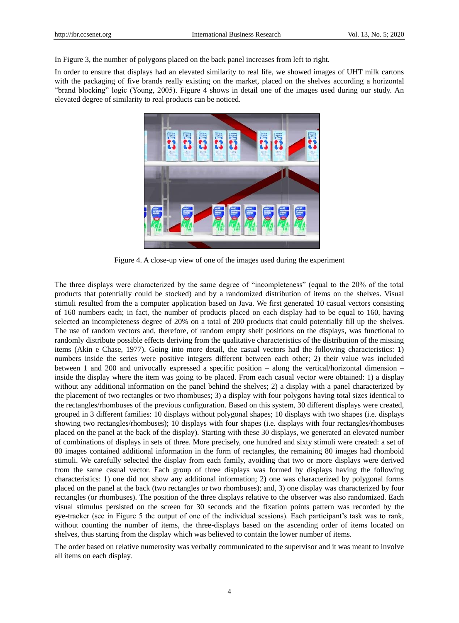In Figure 3, the number of polygons placed on the back panel increases from left to right.

In order to ensure that displays had an elevated similarity to real life, we showed images of UHT milk cartons with the packaging of five brands really existing on the market, placed on the shelves according a horizontal "brand blocking" logic (Young, 2005). Figure 4 shows in detail one of the images used during our study. An elevated degree of similarity to real products can be noticed.



Figure 4. A close-up view of one of the images used during the experiment

The three displays were characterized by the same degree of "incompleteness" (equal to the 20% of the total products that potentially could be stocked) and by a randomized distribution of items on the shelves. Visual stimuli resulted from the a computer application based on Java. We first generated 10 casual vectors consisting of 160 numbers each; in fact, the number of products placed on each display had to be equal to 160, having selected an incompleteness degree of 20% on a total of 200 products that could potentially fill up the shelves. The use of random vectors and, therefore, of random empty shelf positions on the displays, was functional to randomly distribute possible effects deriving from the qualitative characteristics of the distribution of the missing items (Akin e Chase, 1977). Going into more detail, the casual vectors had the following characteristics: 1) numbers inside the series were positive integers different between each other; 2) their value was included between 1 and 200 and univocally expressed a specific position – along the vertical/horizontal dimension – inside the display where the item was going to be placed. From each casual vector were obtained: 1) a display without any additional information on the panel behind the shelves; 2) a display with a panel characterized by the placement of two rectangles or two rhombuses; 3) a display with four polygons having total sizes identical to the rectangles/rhombuses of the previous configuration. Based on this system, 30 different displays were created, grouped in 3 different families: 10 displays without polygonal shapes; 10 displays with two shapes (i.e. displays showing two rectangles/rhombuses); 10 displays with four shapes (i.e. displays with four rectangles/rhombuses placed on the panel at the back of the display). Starting with these 30 displays, we generated an elevated number of combinations of displays in sets of three. More precisely, one hundred and sixty stimuli were created: a set of 80 images contained additional information in the form of rectangles, the remaining 80 images had rhomboid stimuli. We carefully selected the display from each family, avoiding that two or more displays were derived from the same casual vector. Each group of three displays was formed by displays having the following characteristics: 1) one did not show any additional information; 2) one was characterized by polygonal forms placed on the panel at the back (two rectangles or two rhombuses); and, 3) one display was characterized by four rectangles (or rhombuses). The position of the three displays relative to the observer was also randomized. Each visual stimulus persisted on the screen for 30 seconds and the fixation points pattern was recorded by the eye-tracker (see in Figure 5 the output of one of the individual sessions). Each participant's task was to rank, without counting the number of items, the three-displays based on the ascending order of items located on shelves, thus starting from the display which was believed to contain the lower number of items.

The order based on relative numerosity was verbally communicated to the supervisor and it was meant to involve all items on each display.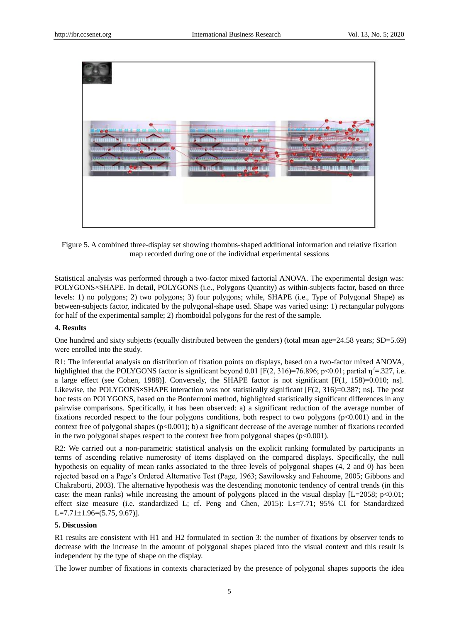

Figure 5. A combined three-display set showing rhombus-shaped additional information and relative fixation map recorded during one of the individual experimental sessions

Statistical analysis was performed through a two-factor mixed factorial ANOVA. The experimental design was: POLYGONS×SHAPE. In detail, POLYGONS (i.e., Polygons Quantity) as within-subjects factor, based on three levels: 1) no polygons; 2) two polygons; 3) four polygons; while, SHAPE (i.e., Type of Polygonal Shape) as between-subjects factor, indicated by the polygonal-shape used. Shape was varied using: 1) rectangular polygons for half of the experimental sample; 2) rhomboidal polygons for the rest of the sample.

## **4. Results**

One hundred and sixty subjects (equally distributed between the genders) (total mean age=24.58 years; SD=5.69) were enrolled into the study.

R1: The inferential analysis on distribution of fixation points on displays, based on a two-factor mixed ANOVA, highlighted that the POLYGONS factor is significant beyond 0.01 [F(2, 316)=76.896; p<0.01; partial  $\eta^2$ =.327, i.e. a large effect (see Cohen, 1988)]. Conversely, the SHAPE factor is not significant [F(1, 158)=0.010; ns]. Likewise, the POLYGONS  $\triangle$ SHAPE interaction was not statistically significant [F(2, 316)=0.387; ns]. The post hoc tests on POLYGONS, based on the Bonferroni method, highlighted statistically significant differences in any pairwise comparisons. Specifically, it has been observed: a) a significant reduction of the average number of fixations recorded respect to the four polygons conditions, both respect to two polygons (p<0.001) and in the context free of polygonal shapes  $(p<0.001)$ ; b) a significant decrease of the average number of fixations recorded in the two polygonal shapes respect to the context free from polygonal shapes ( $p<0.001$ ).

R2: We carried out a non-parametric statistical analysis on the explicit ranking formulated by participants in terms of ascending relative numerosity of items displayed on the compared displays. Specifically, the null hypothesis on equality of mean ranks associated to the three levels of polygonal shapes (4, 2 and 0) has been rejected based on a Page's Ordered Alternative Test (Page, 1963; Sawilowsky and Fahoome, 2005; Gibbons and Chakraborti, 2003). The alternative hypothesis was the descending monotonic tendency of central trends (in this case: the mean ranks) while increasing the amount of polygons placed in the visual display  $[L=2058; p<0.01;$ effect size measure (i.e. standardized L; cf. Peng and Chen, 2015): Ls=7.71; 95% CI for Standardized  $L=7.71 \pm 1.96 = (5.75, 9.67)$ ].

#### **5. Discussion**

R1 results are consistent with H1 and H2 formulated in section 3: the number of fixations by observer tends to decrease with the increase in the amount of polygonal shapes placed into the visual context and this result is independent by the type of shape on the display.

The lower number of fixations in contexts characterized by the presence of polygonal shapes supports the idea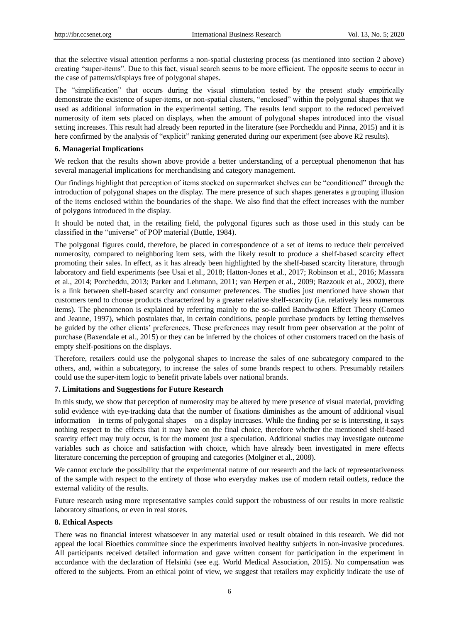that the selective visual attention performs a non-spatial clustering process (as mentioned into section 2 above) creating "super-items". Due to this fact, visual search seems to be more efficient. The opposite seems to occur in the case of patterns/displays free of polygonal shapes.

The "simplification" that occurs during the visual stimulation tested by the present study empirically demonstrate the existence of super-items, or non-spatial clusters, "enclosed" within the polygonal shapes that we used as additional information in the experimental setting. The results lend support to the reduced perceived numerosity of item sets placed on displays, when the amount of polygonal shapes introduced into the visual setting increases. This result had already been reported in the literature (see Porcheddu and Pinna, 2015) and it is here confirmed by the analysis of "explicit" ranking generated during our experiment (see above R2 results).

#### **6. Managerial Implications**

We reckon that the results shown above provide a better understanding of a perceptual phenomenon that has several managerial implications for merchandising and category management.

Our findings highlight that perception of items stocked on supermarket shelves can be "conditioned" through the introduction of polygonal shapes on the display. The mere presence of such shapes generates a grouping illusion of the items enclosed within the boundaries of the shape. We also find that the effect increases with the number of polygons introduced in the display.

It should be noted that, in the retailing field, the polygonal figures such as those used in this study can be classified in the "universe" of POP material (Buttle, 1984).

The polygonal figures could, therefore, be placed in correspondence of a set of items to reduce their perceived numerosity, compared to neighboring item sets, with the likely result to produce a shelf-based scarcity effect promoting their sales. In effect, as it has already been highlighted by the shelf-based scarcity literature, through laboratory and field experiments (see Usai et al., 2018; Hatton-Jones et al., 2017; Robinson et al., 2016; Massara et al., 2014; Porcheddu, 2013; Parker and Lehmann, 2011; van Herpen et al., 2009; Razzouk et al., 2002), there is a link between shelf-based scarcity and consumer preferences. The studies just mentioned have shown that customers tend to choose products characterized by a greater relative shelf-scarcity (i.e. relatively less numerous items). The phenomenon is explained by referring mainly to the so-called Bandwagon Effect Theory (Corneo and Jeanne, 1997), which postulates that, in certain conditions, people purchase products by letting themselves be guided by the other clients' preferences. These preferences may result from peer observation at the point of purchase (Baxendale et al., 2015) or they can be inferred by the choices of other customers traced on the basis of empty shelf-positions on the displays.

Therefore, retailers could use the polygonal shapes to increase the sales of one subcategory compared to the others, and, within a subcategory, to increase the sales of some brands respect to others. Presumably retailers could use the super-item logic to benefit private labels over national brands.

#### **7. Limitations and Suggestions for Future Research**

In this study, we show that perception of numerosity may be altered by mere presence of visual material, providing solid evidence with eye-tracking data that the number of fixations diminishes as the amount of additional visual information – in terms of polygonal shapes – on a display increases. While the finding per se is interesting, it says nothing respect to the effects that it may have on the final choice, therefore whether the mentioned shelf-based scarcity effect may truly occur, is for the moment just a speculation. Additional studies may investigate outcome variables such as choice and satisfaction with choice, which have already been investigated in mere effects literature concerning the perception of grouping and categories (Molginer et al., 2008).

We cannot exclude the possibility that the experimental nature of our research and the lack of representativeness of the sample with respect to the entirety of those who everyday makes use of modern retail outlets, reduce the external validity of the results.

Future research using more representative samples could support the robustness of our results in more realistic laboratory situations, or even in real stores.

#### **8. Ethical Aspects**

There was no financial interest whatsoever in any material used or result obtained in this research. We did not appeal the local Bioethics committee since the experiments involved healthy subjects in non-invasive procedures. All participants received detailed information and gave written consent for participation in the experiment in accordance with the declaration of Helsinki (see e.g. World Medical Association, 2015). No compensation was offered to the subjects. From an ethical point of view, we suggest that retailers may explicitly indicate the use of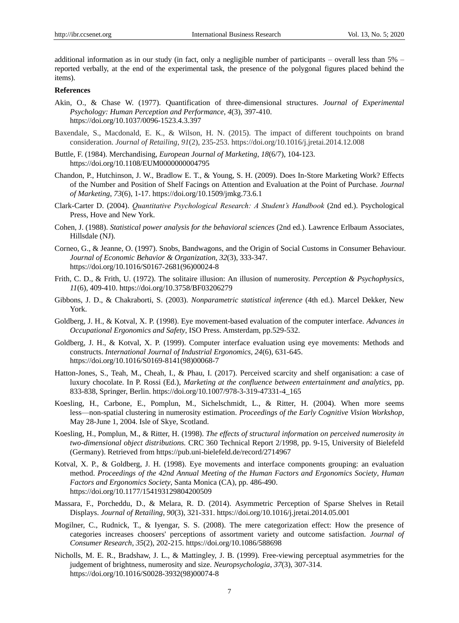additional information as in our study (in fact, only a negligible number of participants – overall less than 5% – reported verbally, at the end of the experimental task, the presence of the polygonal figures placed behind the items).

## **References**

- Akin, O., & Chase W. (1977). Quantification of three-dimensional structures. *Journal of Experimental Psychology: Human Perception and Performance*, *4*(3), 397-410. https://doi.org/10.1037/0096-1523.4.3.397
- Baxendale, S., Macdonald, E. K., & Wilson, H. N. (2015). The impact of different touchpoints on brand consideration. *Journal of Retailing*, *91*(2), 235-253. https://doi.org/10.1016/j.jretai.2014.12.008
- Buttle, F. (1984). Merchandising, *European Journal of Marketing*, *18*(6/7), 104-123. https://doi.org/10.1108/EUM0000000004795
- Chandon, P., Hutchinson, J. W., Bradlow E. T., & Young, S. H. (2009). Does In-Store Marketing Work? Effects of the Number and Position of Shelf Facings on Attention and Evaluation at the Point of Purchase. *Journal of Marketing*, *73*(6), 1-17. https://doi.org/10.1509/jmkg.73.6.1
- Clark-Carter D. (2004). *Quantitative Psychological Research: A Student's Handbook* (2nd ed.). Psychological Press, Hove and New York.
- Cohen, J. (1988). *Statistical power analysis for the behavioral sciences* (2nd ed.). Lawrence Erlbaum Associates, Hillsdale (NJ).
- Corneo, G., & Jeanne, O. (1997). Snobs, Bandwagons, and the Origin of Social Customs in Consumer Behaviour. *Journal of Economic Behavior & Organization*, *32*(3), 333-347. https://doi.org/10.1016/S0167-2681(96)00024-8
- Frith, C. D., & Frith, U. (1972). The solitaire illusion: An illusion of numerosity. *Perception & Psychophysics*, *11*(6), 409-410. https://doi.org/10.3758/BF03206279
- Gibbons, J. D., & Chakraborti, S. (2003). *Nonparametric statistical inference* (4th ed.). Marcel Dekker, New York.
- Goldberg, J. H., & Kotval, X. P. (1998). Eye movement-based evaluation of the computer interface. *Advances in Occupational Ergonomics and Safety*, ISO Press. Amsterdam, pp.529-532.
- Goldberg, J. H., & Kotval, X. P. (1999). Computer interface evaluation using eye movements: Methods and constructs. *International Journal of Industrial Ergonomics, 24*(6), 631-645. https://doi.org/10.1016/S0169-8141(98)00068-7
- Hatton-Jones, S., Teah, M., Cheah, I., & Phau, I. (2017). Perceived scarcity and shelf organisation: a case of luxury chocolate. In P. Rossi (Ed.), *Marketing at the confluence between entertainment and analytics,* pp. 833-838, Springer, Berlin. https://doi.org/10.1007/978-3-319-47331-4\_165
- Koesling, H., Carbone, E., Pomplun, M., Sichelschmidt, L., & Ritter, H. (2004). When more seems less—non-spatial clustering in numerosity estimation. *Proceedings of the Early Cognitive Vision Workshop*, May 28-June 1, 2004. Isle of Skye, Scotland.
- Koesling, H., Pomplun, M., & Ritter, H. (1998). *The effects of structural information on perceived numerosity in two-dimensional object distributions.* CRC 360 Technical Report 2/1998, pp. 9-15, University of Bielefeld (Germany). Retrieved from https://pub.uni-bielefeld.de/record/2714967
- Kotval, X. P., & Goldberg, J. H. (1998). Eye movements and interface components grouping: an evaluation method. *Proceedings of the 42nd Annual Meeting of the Human Factors and Ergonomics Society*, *Human Factors and Ergonomics Society*, Santa Monica (CA), pp. 486-490. https://doi.org/10.1177/154193129804200509
- Massara, F., Porcheddu, D., & Melara, R. D. (2014). Asymmetric Perception of Sparse Shelves in Retail Displays. *Journal of Retailing, 90*(3), 321-331. https://doi.org/10.1016/j.jretai.2014.05.001
- Mogilner, C., Rudnick, T., & Iyengar, S. S. (2008). The mere categorization effect: How the presence of categories increases choosers' perceptions of assortment variety and outcome satisfaction. *Journal of Consumer Research*, *35*(2), 202-215. https://doi.org/10.1086/588698
- Nicholls, M. E. R., Bradshaw, J. L., & Mattingley, J. B. (1999). Free-viewing perceptual asymmetries for the judgement of brightness, numerosity and size. *Neuropsychologia*, *37*(3), 307-314. https://doi.org/10.1016/S0028-3932(98)00074-8